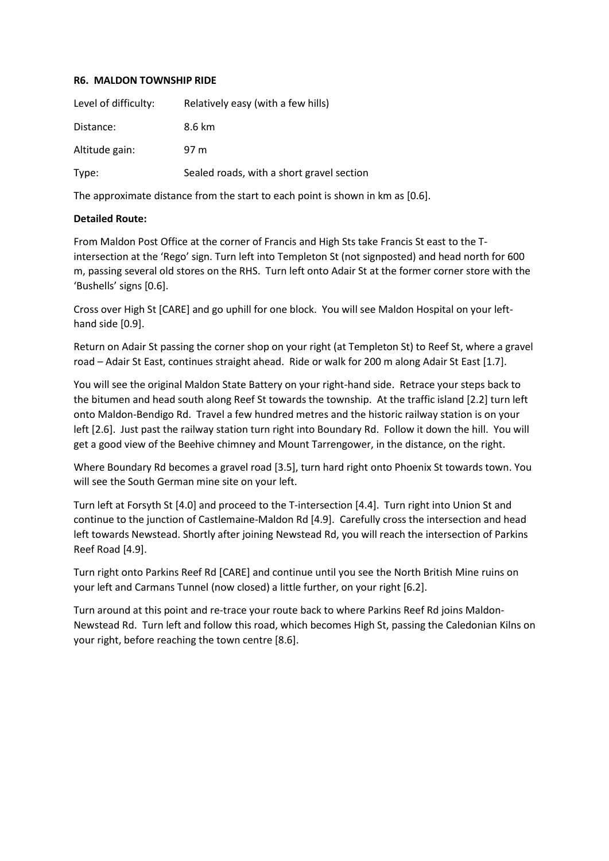## **R6. MALDON TOWNSHIP RIDE**

| Level of difficulty: | Relatively easy (with a few hills)        |
|----------------------|-------------------------------------------|
| Distance:            | 8.6 km                                    |
| Altitude gain:       | 97 m                                      |
| Type:                | Sealed roads, with a short gravel section |

The approximate distance from the start to each point is shown in km as [0.6].

## **Detailed Route:**

From Maldon Post Office at the corner of Francis and High Sts take Francis St east to the Tintersection at the 'Rego' sign. Turn left into Templeton St (not signposted) and head north for 600 m, passing several old stores on the RHS. Turn left onto Adair St at the former corner store with the 'Bushells' signs [0.6].

Cross over High St [CARE] and go uphill for one block. You will see Maldon Hospital on your lefthand side [0.9].

Return on Adair St passing the corner shop on your right (at Templeton St) to Reef St, where a gravel road – Adair St East, continues straight ahead. Ride or walk for 200 m along Adair St East [1.7].

You will see the original Maldon State Battery on your right-hand side. Retrace your steps back to the bitumen and head south along Reef St towards the township. At the traffic island [2.2] turn left onto Maldon-Bendigo Rd. Travel a few hundred metres and the historic railway station is on your left [2.6]. Just past the railway station turn right into Boundary Rd. Follow it down the hill. You will get a good view of the Beehive chimney and Mount Tarrengower, in the distance, on the right.

Where Boundary Rd becomes a gravel road [3.5], turn hard right onto Phoenix St towards town. You will see the South German mine site on your left.

Turn left at Forsyth St [4.0] and proceed to the T-intersection [4.4]. Turn right into Union St and continue to the junction of Castlemaine-Maldon Rd [4.9]. Carefully cross the intersection and head left towards Newstead. Shortly after joining Newstead Rd, you will reach the intersection of Parkins Reef Road [4.9].

Turn right onto Parkins Reef Rd [CARE] and continue until you see the North British Mine ruins on your left and Carmans Tunnel (now closed) a little further, on your right [6.2].

Turn around at this point and re-trace your route back to where Parkins Reef Rd joins Maldon-Newstead Rd. Turn left and follow this road, which becomes High St, passing the Caledonian Kilns on your right, before reaching the town centre [8.6].